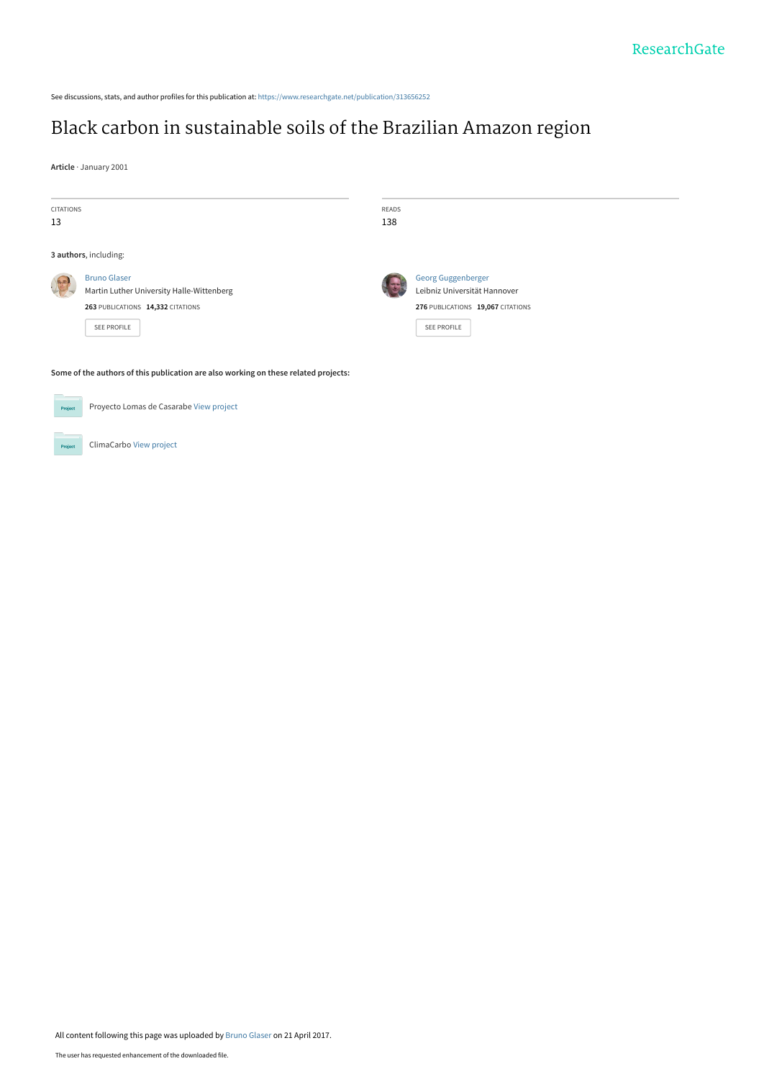See discussions, stats, and author profiles for this publication at: [https://www.researchgate.net/publication/313656252](https://www.researchgate.net/publication/313656252_Black_carbon_in_sustainable_soils_of_the_Brazilian_Amazon_region?enrichId=rgreq-5f2b24b5abcc3980936dc7178e0df71d-XXX&enrichSource=Y292ZXJQYWdlOzMxMzY1NjI1MjtBUzo0ODU0ODY1MzI3OTY0MTdAMTQ5Mjc2MDQxNzk4OA%3D%3D&el=1_x_2&_esc=publicationCoverPdf)

# [Black carbon in sustainable soils of the Brazilian Amazon region](https://www.researchgate.net/publication/313656252_Black_carbon_in_sustainable_soils_of_the_Brazilian_Amazon_region?enrichId=rgreq-5f2b24b5abcc3980936dc7178e0df71d-XXX&enrichSource=Y292ZXJQYWdlOzMxMzY1NjI1MjtBUzo0ODU0ODY1MzI3OTY0MTdAMTQ5Mjc2MDQxNzk4OA%3D%3D&el=1_x_3&_esc=publicationCoverPdf)

**Article** · January 2001

| <b>CITATIONS</b><br>13 |                                                                                     | READS<br>138 |                                   |  |  |  |  |
|------------------------|-------------------------------------------------------------------------------------|--------------|-----------------------------------|--|--|--|--|
|                        | 3 authors, including:                                                               |              |                                   |  |  |  |  |
| 馬馬                     | <b>Bruno Glaser</b>                                                                 |              | <b>Georg Guggenberger</b>         |  |  |  |  |
|                        | Martin Luther University Halle-Wittenberg                                           |              | Leibniz Universität Hannover      |  |  |  |  |
|                        | 263 PUBLICATIONS 14,332 CITATIONS                                                   |              | 276 PUBLICATIONS 19,067 CITATIONS |  |  |  |  |
|                        | SEE PROFILE                                                                         |              | SEE PROFILE                       |  |  |  |  |
|                        | Some of the authors of this publication are also working on these related projects: |              |                                   |  |  |  |  |
| Project                | Proyecto Lomas de Casarabe View project                                             |              |                                   |  |  |  |  |

ClimaCarbo [View project](https://www.researchgate.net/project/ClimaCarbo?enrichId=rgreq-5f2b24b5abcc3980936dc7178e0df71d-XXX&enrichSource=Y292ZXJQYWdlOzMxMzY1NjI1MjtBUzo0ODU0ODY1MzI3OTY0MTdAMTQ5Mjc2MDQxNzk4OA%3D%3D&el=1_x_9&_esc=publicationCoverPdf)

**Project** 

All content following this page was uploaded by [Bruno Glaser](https://www.researchgate.net/profile/Bruno_Glaser2?enrichId=rgreq-5f2b24b5abcc3980936dc7178e0df71d-XXX&enrichSource=Y292ZXJQYWdlOzMxMzY1NjI1MjtBUzo0ODU0ODY1MzI3OTY0MTdAMTQ5Mjc2MDQxNzk4OA%3D%3D&el=1_x_10&_esc=publicationCoverPdf) on 21 April 2017.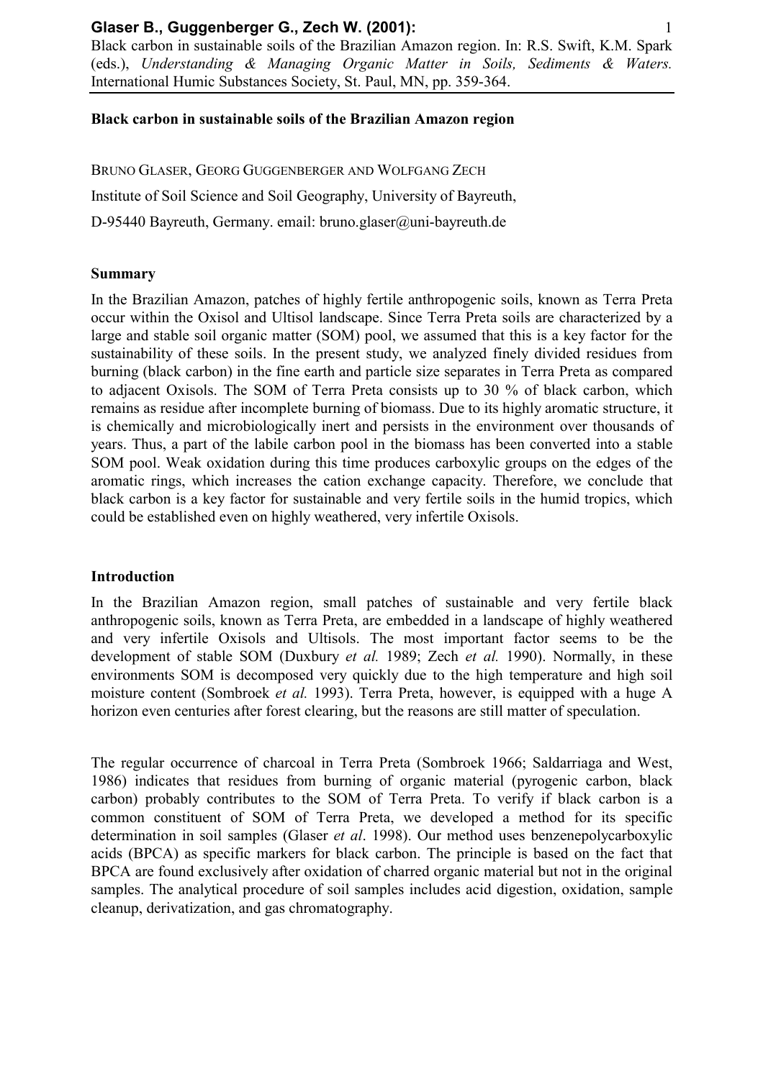Black carbon in sustainable soils of the Brazilian Amazon region. In: R.S. Swift, K.M. Spark (eds.), *Understanding & Managing Organic Matter in Soils, Sediments & Waters.* International Humic Substances Society, St. Paul, MN, pp. 359-364.

## **Black carbon in sustainable soils of the Brazilian Amazon region**

BRUNO GLASER, GEORG GUGGENBERGER AND WOLFGANG ZECH Institute of Soil Science and Soil Geography, University of Bayreuth, D-95440 Bayreuth, Germany. email: bruno.glaser@uni-bayreuth.de

#### **Summary**

In the Brazilian Amazon, patches of highly fertile anthropogenic soils, known as Terra Preta occur within the Oxisol and Ultisol landscape. Since Terra Preta soils are characterized by a large and stable soil organic matter (SOM) pool, we assumed that this is a key factor for the sustainability of these soils. In the present study, we analyzed finely divided residues from burning (black carbon) in the fine earth and particle size separates in Terra Preta as compared to adjacent Oxisols. The SOM of Terra Preta consists up to 30 % of black carbon, which remains as residue after incomplete burning of biomass. Due to its highly aromatic structure, it is chemically and microbiologically inert and persists in the environment over thousands of years. Thus, a part of the labile carbon pool in the biomass has been converted into a stable SOM pool. Weak oxidation during this time produces carboxylic groups on the edges of the aromatic rings, which increases the cation exchange capacity. Therefore, we conclude that black carbon is a key factor for sustainable and very fertile soils in the humid tropics, which could be established even on highly weathered, very infertile Oxisols.

## **Introduction**

In the Brazilian Amazon region, small patches of sustainable and very fertile black anthropogenic soils, known as Terra Preta, are embedded in a landscape of highly weathered and very infertile Oxisols and Ultisols. The most important factor seems to be the development of stable SOM (Duxbury *et al.* 1989; Zech *et al.* 1990). Normally, in these environments SOM is decomposed very quickly due to the high temperature and high soil moisture content (Sombroek *et al.* 1993). Terra Preta, however, is equipped with a huge A horizon even centuries after forest clearing, but the reasons are still matter of speculation.

The regular occurrence of charcoal in Terra Preta (Sombroek 1966; Saldarriaga and West, 1986) indicates that residues from burning of organic material (pyrogenic carbon, black carbon) probably contributes to the SOM of Terra Preta. To verify if black carbon is a common constituent of SOM of Terra Preta, we developed a method for its specific determination in soil samples (Glaser *et al*. 1998). Our method uses benzenepolycarboxylic acids (BPCA) as specific markers for black carbon. The principle is based on the fact that BPCA are found exclusively after oxidation of charred organic material but not in the original samples. The analytical procedure of soil samples includes acid digestion, oxidation, sample cleanup, derivatization, and gas chromatography.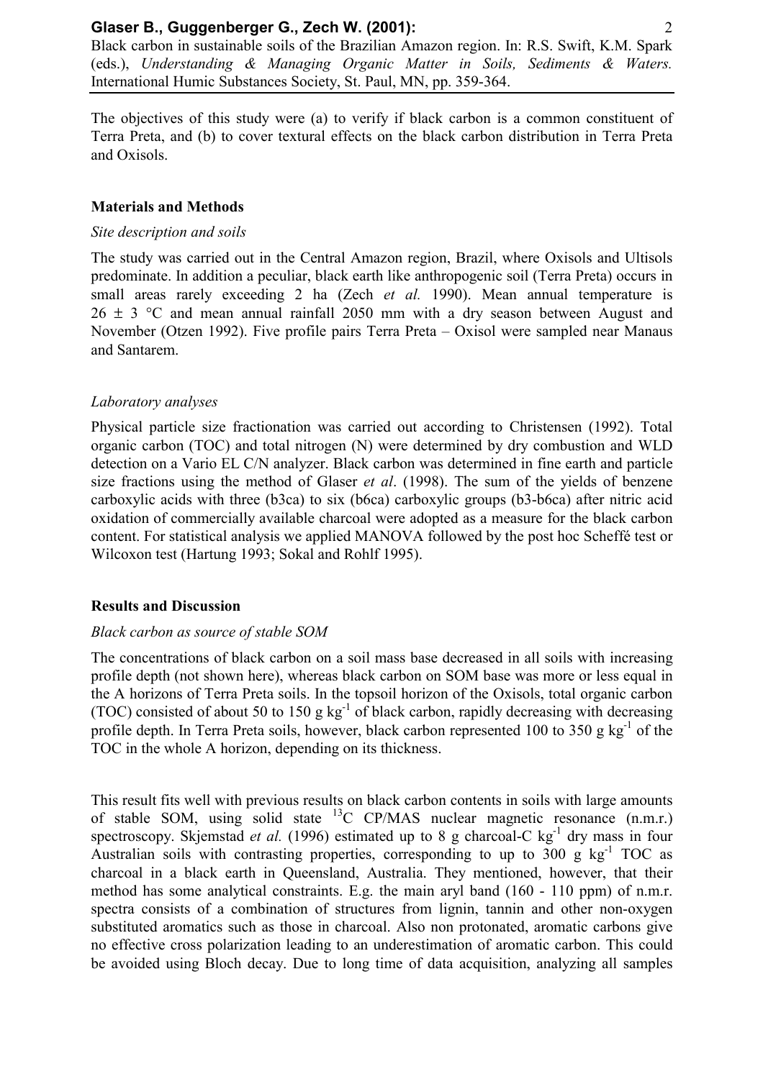Black carbon in sustainable soils of the Brazilian Amazon region. In: R.S. Swift, K.M. Spark (eds.), *Understanding & Managing Organic Matter in Soils, Sediments & Waters.* International Humic Substances Society, St. Paul, MN, pp. 359-364.

The objectives of this study were (a) to verify if black carbon is a common constituent of Terra Preta, and (b) to cover textural effects on the black carbon distribution in Terra Preta and Oxisols.

#### **Materials and Methods**

#### *Site description and soils*

The study was carried out in the Central Amazon region, Brazil, where Oxisols and Ultisols predominate. In addition a peculiar, black earth like anthropogenic soil (Terra Preta) occurs in small areas rarely exceeding 2 ha (Zech *et al.* 1990). Mean annual temperature is  $26 \pm 3$  °C and mean annual rainfall 2050 mm with a dry season between August and November (Otzen 1992). Five profile pairs Terra Preta – Oxisol were sampled near Manaus and Santarem.

#### *Laboratory analyses*

Physical particle size fractionation was carried out according to Christensen (1992). Total organic carbon (TOC) and total nitrogen (N) were determined by dry combustion and WLD detection on a Vario EL C/N analyzer. Black carbon was determined in fine earth and particle size fractions using the method of Glaser *et al*. (1998). The sum of the yields of benzene carboxylic acids with three (b3ca) to six (b6ca) carboxylic groups (b3-b6ca) after nitric acid oxidation of commercially available charcoal were adopted as a measure for the black carbon content. For statistical analysis we applied MANOVA followed by the post hoc Scheffé test or Wilcoxon test (Hartung 1993; Sokal and Rohlf 1995).

#### **Results and Discussion**

#### *Black carbon as source of stable SOM*

The concentrations of black carbon on a soil mass base decreased in all soils with increasing profile depth (not shown here), whereas black carbon on SOM base was more or less equal in the A horizons of Terra Preta soils. In the topsoil horizon of the Oxisols, total organic carbon (TOC) consisted of about 50 to 150 g  $kg^{-1}$  of black carbon, rapidly decreasing with decreasing profile depth. In Terra Preta soils, however, black carbon represented 100 to 350 g kg<sup>-1</sup> of the TOC in the whole A horizon, depending on its thickness.

This result fits well with previous results on black carbon contents in soils with large amounts of stable SOM, using solid state  $^{13}$ C CP/MAS nuclear magnetic resonance (n.m.r.) spectroscopy. Skjemstad *et al.* (1996) estimated up to 8 g charcoal-C kg<sup>-1</sup> dry mass in four Australian soils with contrasting properties, corresponding to up to 300 g  $kg^{-1}$  TOC as charcoal in a black earth in Queensland, Australia. They mentioned, however, that their method has some analytical constraints. E.g. the main aryl band (160 - 110 ppm) of n.m.r. spectra consists of a combination of structures from lignin, tannin and other non-oxygen substituted aromatics such as those in charcoal. Also non protonated, aromatic carbons give no effective cross polarization leading to an underestimation of aromatic carbon. This could be avoided using Bloch decay. Due to long time of data acquisition, analyzing all samples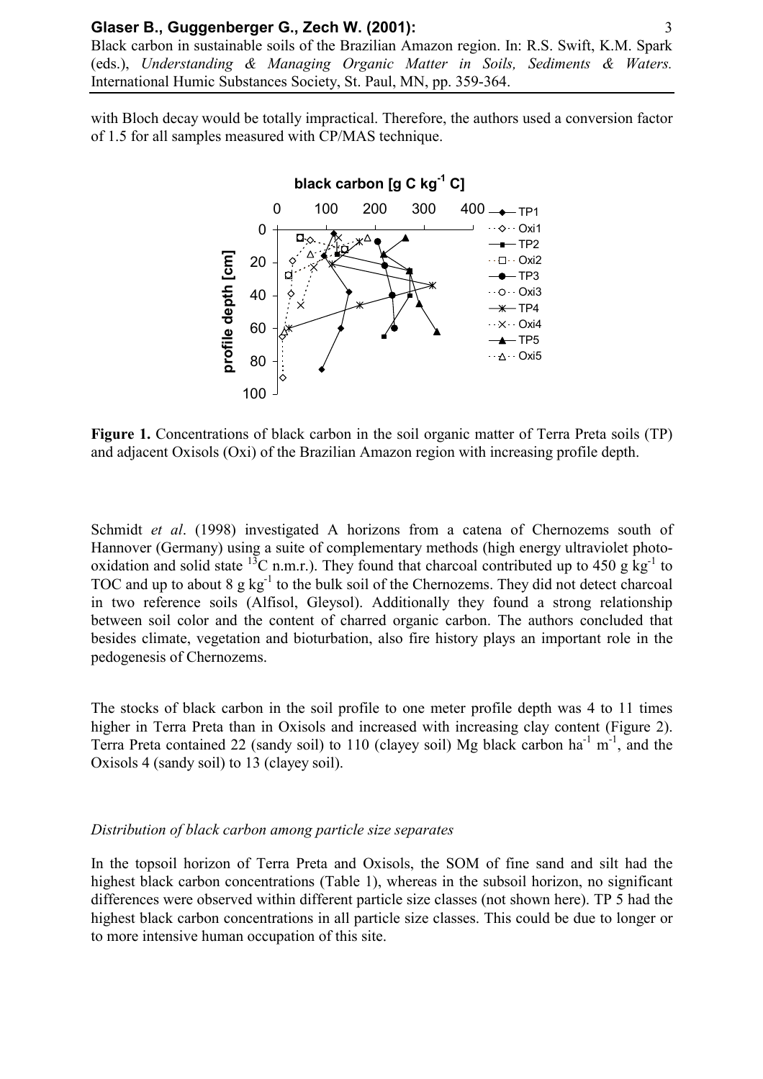Black carbon in sustainable soils of the Brazilian Amazon region. In: R.S. Swift, K.M. Spark (eds.), *Understanding & Managing Organic Matter in Soils, Sediments & Waters.* International Humic Substances Society, St. Paul, MN, pp. 359-364.

with Bloch decay would be totally impractical. Therefore, the authors used a conversion factor of 1.5 for all samples measured with CP/MAS technique.



Figure 1. Concentrations of black carbon in the soil organic matter of Terra Preta soils (TP) and adjacent Oxisols (Oxi) of the Brazilian Amazon region with increasing profile depth.

Schmidt *et al*. (1998) investigated A horizons from a catena of Chernozems south of Hannover (Germany) using a suite of complementary methods (high energy ultraviolet photooxidation and solid state <sup>13</sup>C n.m.r.). They found that charcoal contributed up to 450 g kg<sup>-1</sup> to TOC and up to about  $8 \text{ g kg}^{-1}$  to the bulk soil of the Chernozems. They did not detect charcoal in two reference soils (Alfisol, Gleysol). Additionally they found a strong relationship between soil color and the content of charred organic carbon. The authors concluded that besides climate, vegetation and bioturbation, also fire history plays an important role in the pedogenesis of Chernozems.

The stocks of black carbon in the soil profile to one meter profile depth was 4 to 11 times higher in Terra Preta than in Oxisols and increased with increasing clay content (Figure 2). Terra Preta contained 22 (sandy soil) to 110 (clayey soil) Mg black carbon  $ha^{-1}$  m<sup>-1</sup>, and the Oxisols 4 (sandy soil) to 13 (clayey soil).

#### *Distribution of black carbon among particle size separates*

In the topsoil horizon of Terra Preta and Oxisols, the SOM of fine sand and silt had the highest black carbon concentrations (Table 1), whereas in the subsoil horizon, no significant differences were observed within different particle size classes (not shown here). TP 5 had the highest black carbon concentrations in all particle size classes. This could be due to longer or to more intensive human occupation of this site.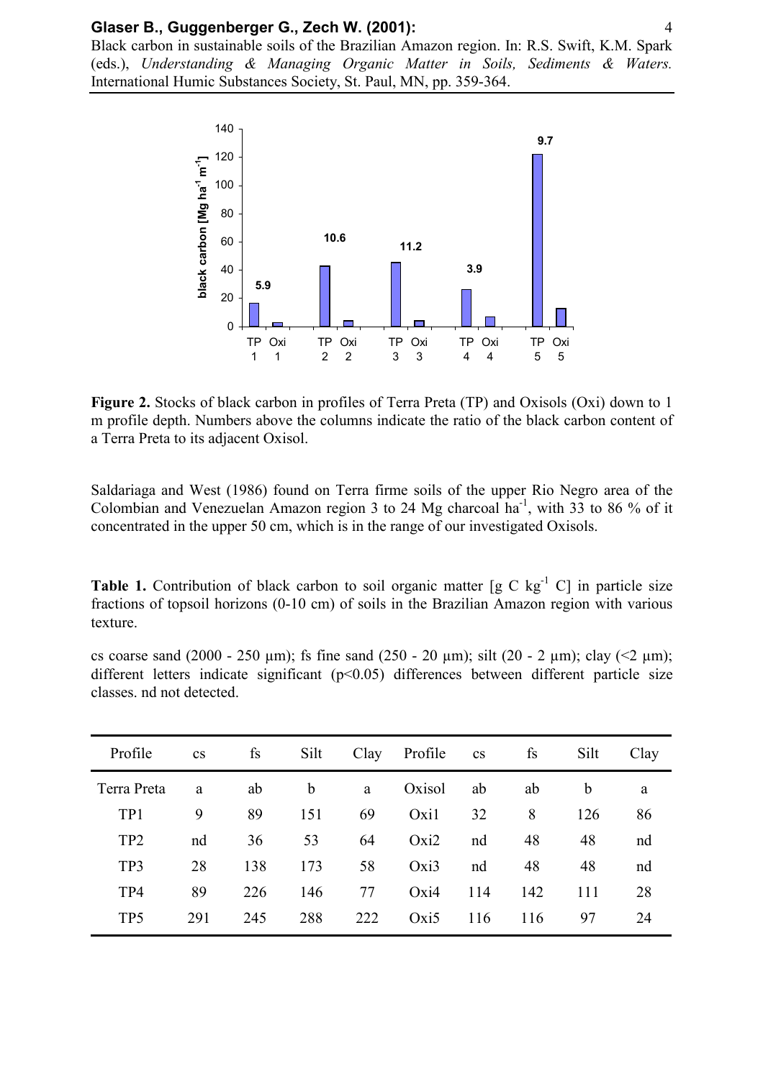Black carbon in sustainable soils of the Brazilian Amazon region. In: R.S. Swift, K.M. Spark (eds.), *Understanding & Managing Organic Matter in Soils, Sediments & Waters.* International Humic Substances Society, St. Paul, MN, pp. 359-364.



**Figure 2.** Stocks of black carbon in profiles of Terra Preta (TP) and Oxisols (Oxi) down to 1 m profile depth. Numbers above the columns indicate the ratio of the black carbon content of a Terra Preta to its adjacent Oxisol.

Saldariaga and West (1986) found on Terra firme soils of the upper Rio Negro area of the Colombian and Venezuelan Amazon region 3 to 24 Mg charcoal ha<sup>-1</sup>, with 33 to 86 % of it concentrated in the upper 50 cm, which is in the range of our investigated Oxisols.

**Table 1.** Contribution of black carbon to soil organic matter [g C kg<sup>-1</sup> C] in particle size fractions of topsoil horizons (0-10 cm) of soils in the Brazilian Amazon region with various texture.

cs coarse sand (2000 - 250 µm); fs fine sand (250 - 20 µm); silt (20 - 2 µm); clay (<2 µm); different letters indicate significant (p<0.05) differences between different particle size classes. nd not detected.

| Profile         | $\mathbf{c}\mathbf{s}$ | fs  | Silt        | Clay | Profile | <b>CS</b> | fs  | Silt        | Clay |
|-----------------|------------------------|-----|-------------|------|---------|-----------|-----|-------------|------|
| Terra Preta     | a                      | ab  | $\mathbf b$ | a    | Oxisol  | ab        | ab  | $\mathbf b$ | a    |
| TP1             | 9                      | 89  | 151         | 69   | Oxi1    | 32        | 8   | 126         | 86   |
| TP <sub>2</sub> | nd                     | 36  | 53          | 64   | Oxi2    | nd        | 48  | 48          | nd   |
| TP3             | 28                     | 138 | 173         | 58   | Oxi3    | nd        | 48  | 48          | nd   |
| TP4             | 89                     | 226 | 146         | 77   | Oxi4    | 114       | 142 | 111         | 28   |
| TP <sub>5</sub> | 291                    | 245 | 288         | 222  | Oxi5    | 116       | 116 | 97          | 24   |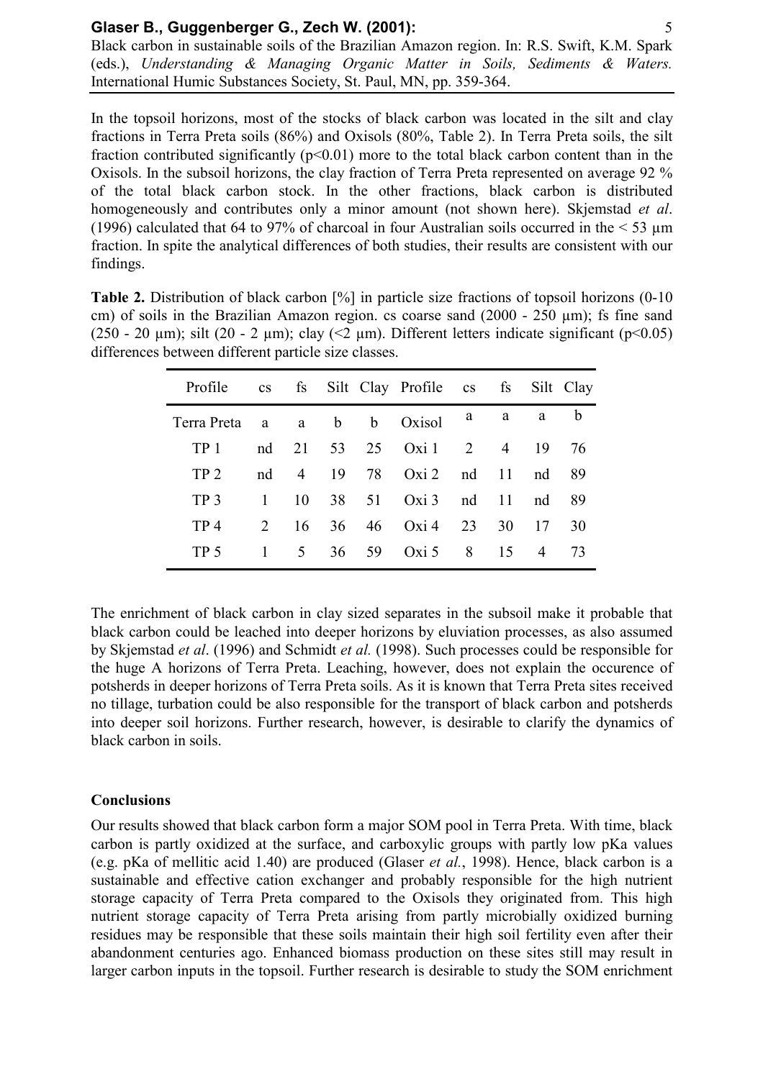Black carbon in sustainable soils of the Brazilian Amazon region. In: R.S. Swift, K.M. Spark (eds.), *Understanding & Managing Organic Matter in Soils, Sediments & Waters.* International Humic Substances Society, St. Paul, MN, pp. 359-364.

In the topsoil horizons, most of the stocks of black carbon was located in the silt and clay fractions in Terra Preta soils (86%) and Oxisols (80%, Table 2). In Terra Preta soils, the silt fraction contributed significantly  $(p<0.01)$  more to the total black carbon content than in the Oxisols. In the subsoil horizons, the clay fraction of Terra Preta represented on average 92 % of the total black carbon stock. In the other fractions, black carbon is distributed homogeneously and contributes only a minor amount (not shown here). Skjemstad *et al*. (1996) calculated that 64 to 97% of charcoal in four Australian soils occurred in the  $\leq 53 \mu m$ fraction. In spite the analytical differences of both studies, their results are consistent with our findings.

| <b>Table 2.</b> Distribution of black carbon $\lceil\% \rceil$ in particle size fractions of topsoil horizons (0-10) |
|----------------------------------------------------------------------------------------------------------------------|
| cm) of soils in the Brazilian Amazon region. cs coarse sand $(2000 - 250 \mu m)$ ; fs fine sand                      |
| $(250 - 20 \mu m)$ ; silt $(20 - 2 \mu m)$ ; clay $(< 2 \mu m)$ . Different letters indicate significant (p<0.05)    |
| differences between different particle size classes.                                                                 |

| Profile           | cs fs Silt Clay Profile cs fs Silt Clay |                 |    |       |               |    |                |    |             |
|-------------------|-----------------------------------------|-----------------|----|-------|---------------|----|----------------|----|-------------|
| Terra Preta a a b |                                         |                 |    |       | b Oxisol      | a  | a              | a  | $\mathbf b$ |
| TP <sub>1</sub>   | nd                                      | 21              |    |       | 53 25 Oxi 1 2 |    | $\overline{4}$ | 19 | 76          |
| TP <sub>2</sub>   | nd                                      | $\overline{4}$  | 19 | 78    | Oxi 2 nd 11   |    |                | nd | 89          |
| TP <sub>3</sub>   |                                         | 10              |    | 38 51 | Oxi 3 nd 11   |    |                | nd | 89          |
| TP4               | $2^{\circ}$                             | 16              | 36 | 46    | Oxi4          | 23 | 30             | 17 | 30          |
| TP 5              |                                         | $5\overline{)}$ |    | 36 59 | Oxi 5 $8$     |    | 15             | 4  | 73          |

The enrichment of black carbon in clay sized separates in the subsoil make it probable that black carbon could be leached into deeper horizons by eluviation processes, as also assumed by Skjemstad *et al*. (1996) and Schmidt *et al.* (1998). Such processes could be responsible for the huge A horizons of Terra Preta. Leaching, however, does not explain the occurence of potsherds in deeper horizons of Terra Preta soils. As it is known that Terra Preta sites received no tillage, turbation could be also responsible for the transport of black carbon and potsherds into deeper soil horizons. Further research, however, is desirable to clarify the dynamics of black carbon in soils.

# **Conclusions**

Our results showed that black carbon form a major SOM pool in Terra Preta. With time, black carbon is partly oxidized at the surface, and carboxylic groups with partly low pKa values (e.g. pKa of mellitic acid 1.40) are produced (Glaser *et al.*, 1998). Hence, black carbon is a sustainable and effective cation exchanger and probably responsible for the high nutrient storage capacity of Terra Preta compared to the Oxisols they originated from. This high nutrient storage capacity of Terra Preta arising from partly microbially oxidized burning residues may be responsible that these soils maintain their high soil fertility even after their abandonment centuries ago. Enhanced biomass production on these sites still may result in larger carbon inputs in the topsoil. Further research is desirable to study the SOM enrichment